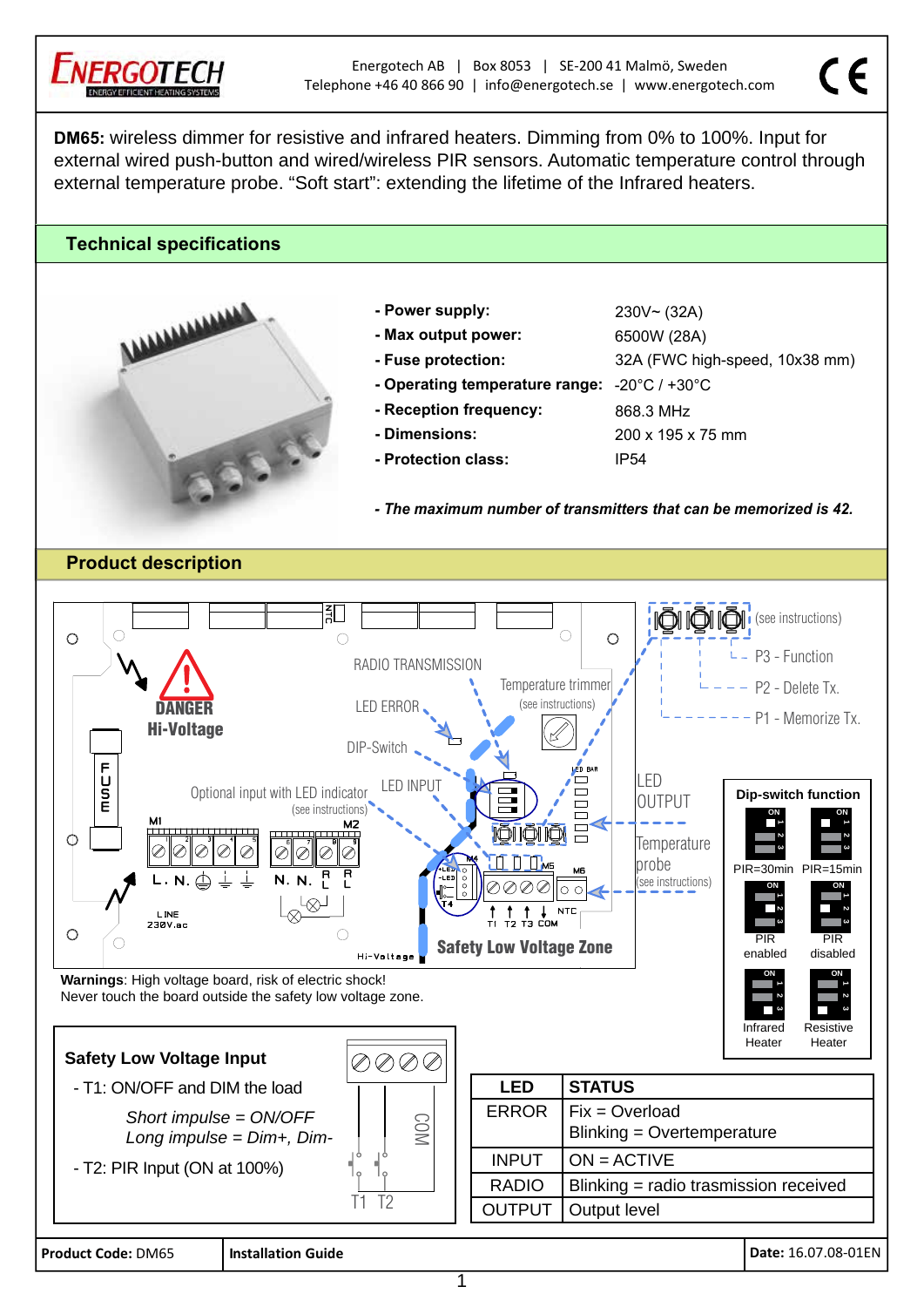

## **Technical specifications**



- **Power supply**
- **Max output power:** 6500W (28A)
- 
- **20°C** / +30°C  **Operating temperature range:** -20°C
- Reception frequency:
- **Dimensions**
- **Protection class**
- $230V \sim (32A)$ - Fuse protection: 32A (FWC high-speed, 10x38 mm) 868.3 MHz 200 x 195 x 75 mm IP54

 $\epsilon$ 

*- The maximum number of transmitters that can be memorized is 42.*

**Product description** 



**Product Code:** DM65 **Installation Guide** 

Date: 16.07.08-01EN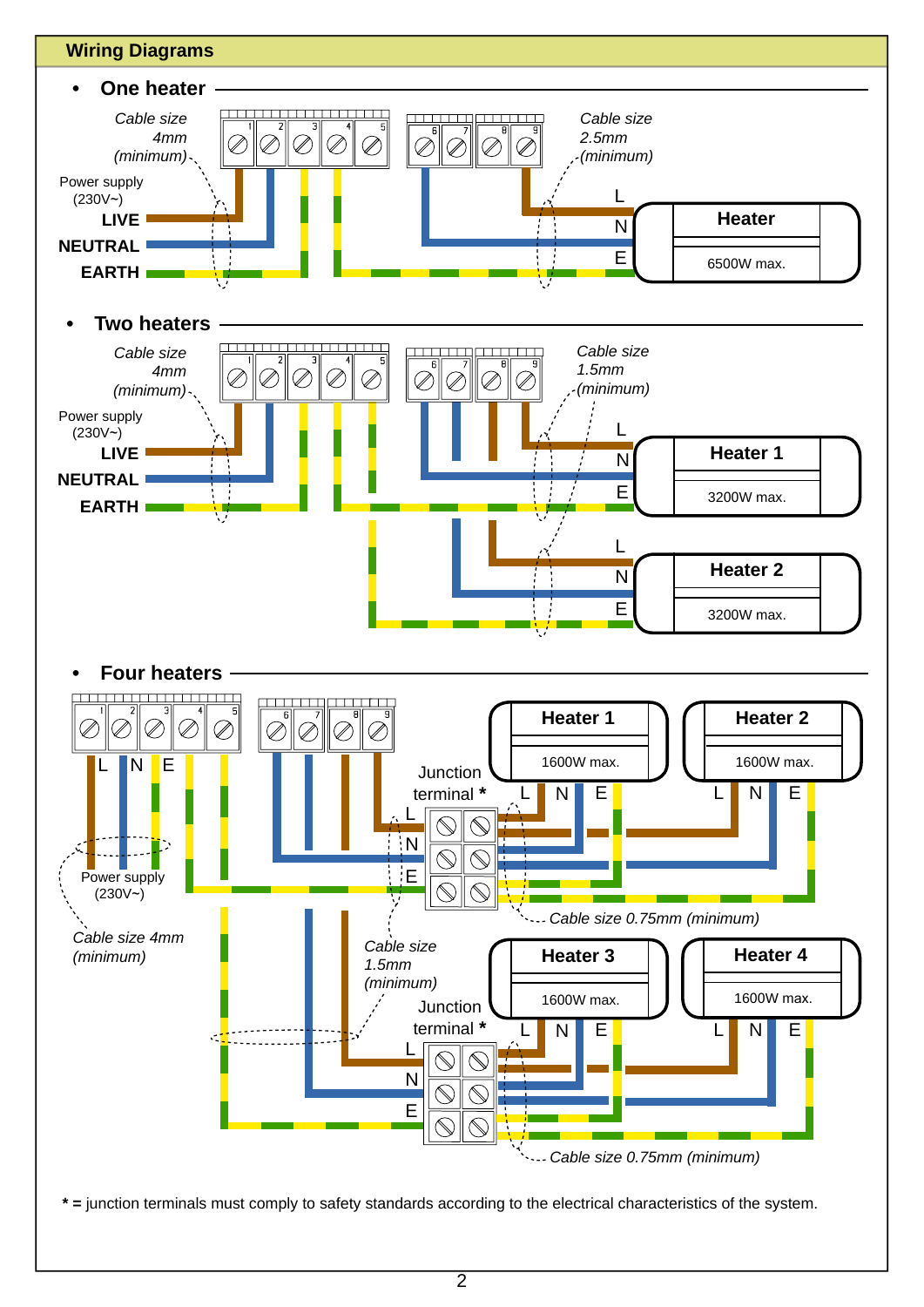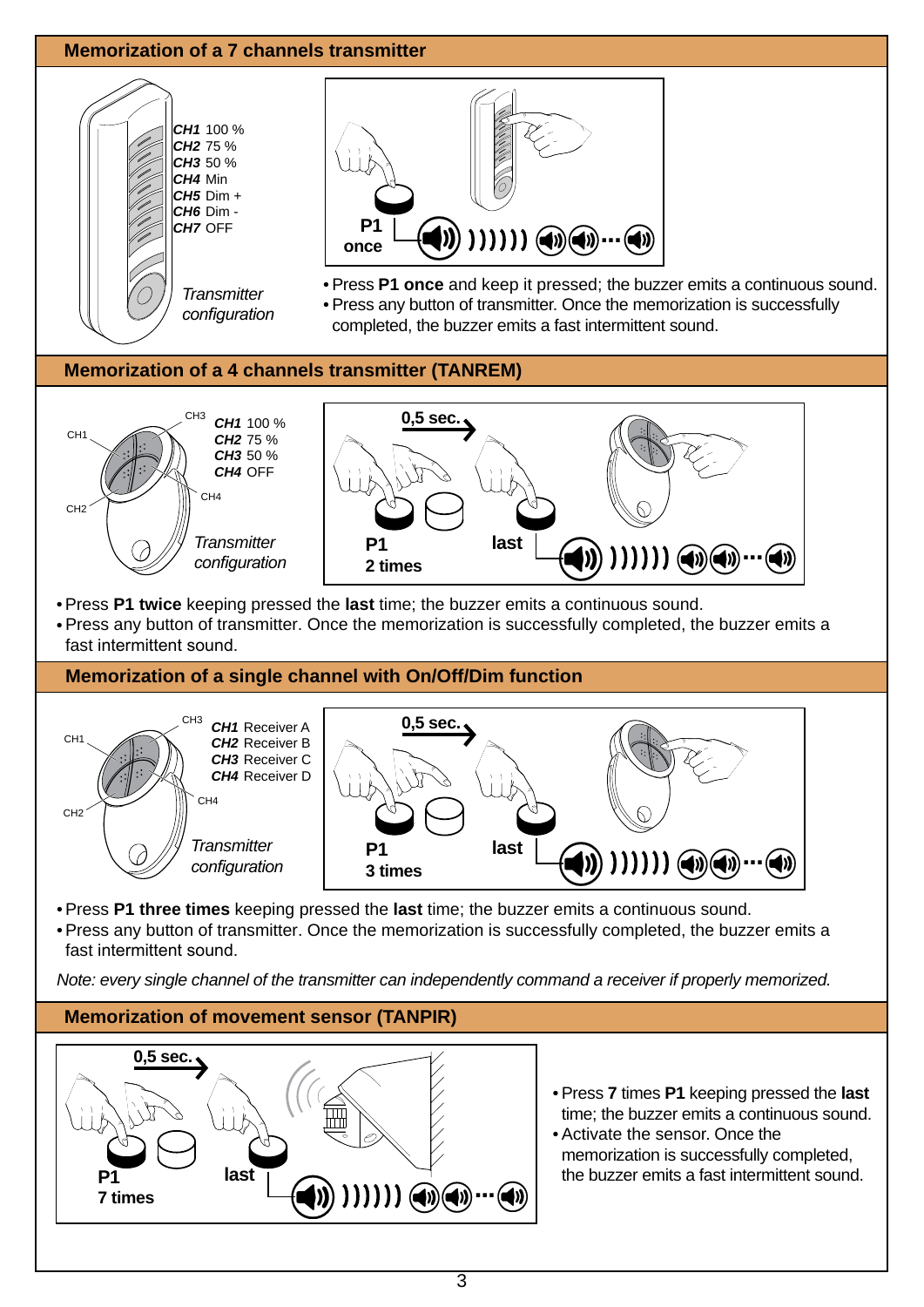